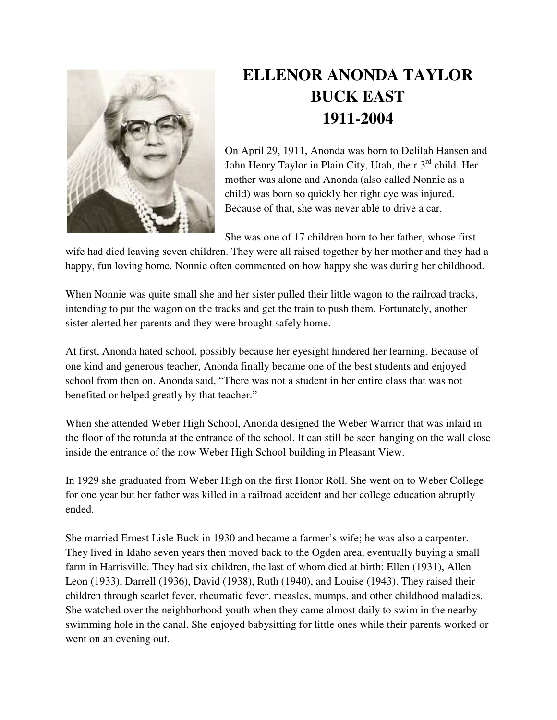

## **ELLENOR ANONDA TAYLOR BUCK EAST 1911-2004**

On April 29, 1911, Anonda was born to Delilah Hansen and John Henry Taylor in Plain City, Utah, their 3<sup>rd</sup> child. Her mother was alone and Anonda (also called Nonnie as a child) was born so quickly her right eye was injured. Because of that, she was never able to drive a car.

She was one of 17 children born to her father, whose first

wife had died leaving seven children. They were all raised together by her mother and they had a happy, fun loving home. Nonnie often commented on how happy she was during her childhood.

When Nonnie was quite small she and her sister pulled their little wagon to the railroad tracks, intending to put the wagon on the tracks and get the train to push them. Fortunately, another sister alerted her parents and they were brought safely home.

At first, Anonda hated school, possibly because her eyesight hindered her learning. Because of one kind and generous teacher, Anonda finally became one of the best students and enjoyed school from then on. Anonda said, "There was not a student in her entire class that was not benefited or helped greatly by that teacher."

When she attended Weber High School, Anonda designed the Weber Warrior that was inlaid in the floor of the rotunda at the entrance of the school. It can still be seen hanging on the wall close inside the entrance of the now Weber High School building in Pleasant View.

In 1929 she graduated from Weber High on the first Honor Roll. She went on to Weber College for one year but her father was killed in a railroad accident and her college education abruptly ended.

She married Ernest Lisle Buck in 1930 and became a farmer's wife; he was also a carpenter. They lived in Idaho seven years then moved back to the Ogden area, eventually buying a small farm in Harrisville. They had six children, the last of whom died at birth: Ellen (1931), Allen Leon (1933), Darrell (1936), David (1938), Ruth (1940), and Louise (1943). They raised their children through scarlet fever, rheumatic fever, measles, mumps, and other childhood maladies. She watched over the neighborhood youth when they came almost daily to swim in the nearby swimming hole in the canal. She enjoyed babysitting for little ones while their parents worked or went on an evening out.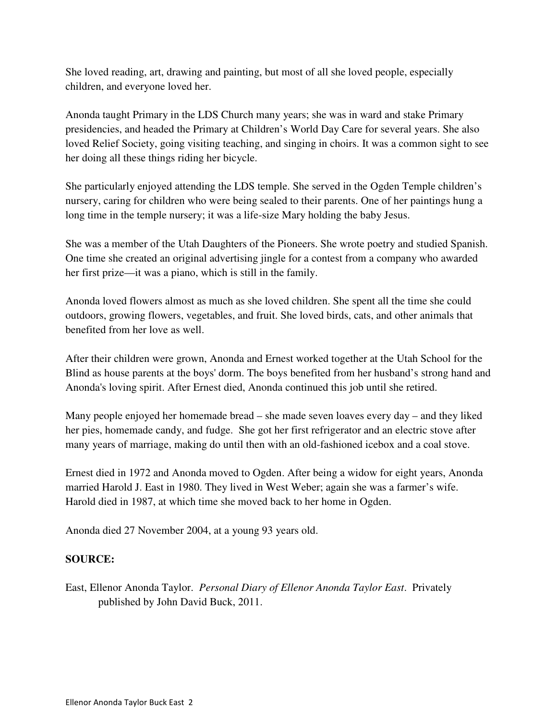She loved reading, art, drawing and painting, but most of all she loved people, especially children, and everyone loved her.

Anonda taught Primary in the LDS Church many years; she was in ward and stake Primary presidencies, and headed the Primary at Children's World Day Care for several years. She also loved Relief Society, going visiting teaching, and singing in choirs. It was a common sight to see her doing all these things riding her bicycle.

She particularly enjoyed attending the LDS temple. She served in the Ogden Temple children's nursery, caring for children who were being sealed to their parents. One of her paintings hung a long time in the temple nursery; it was a life-size Mary holding the baby Jesus.

She was a member of the Utah Daughters of the Pioneers. She wrote poetry and studied Spanish. One time she created an original advertising jingle for a contest from a company who awarded her first prize—it was a piano, which is still in the family.

Anonda loved flowers almost as much as she loved children. She spent all the time she could outdoors, growing flowers, vegetables, and fruit. She loved birds, cats, and other animals that benefited from her love as well.

After their children were grown, Anonda and Ernest worked together at the Utah School for the Blind as house parents at the boys' dorm. The boys benefited from her husband's strong hand and Anonda's loving spirit. After Ernest died, Anonda continued this job until she retired.

Many people enjoyed her homemade bread – she made seven loaves every day – and they liked her pies, homemade candy, and fudge. She got her first refrigerator and an electric stove after many years of marriage, making do until then with an old-fashioned icebox and a coal stove.

Ernest died in 1972 and Anonda moved to Ogden. After being a widow for eight years, Anonda married Harold J. East in 1980. They lived in West Weber; again she was a farmer's wife. Harold died in 1987, at which time she moved back to her home in Ogden.

Anonda died 27 November 2004, at a young 93 years old.

## **SOURCE:**

East, Ellenor Anonda Taylor. *Personal Diary of Ellenor Anonda Taylor East*. Privately published by John David Buck, 2011.